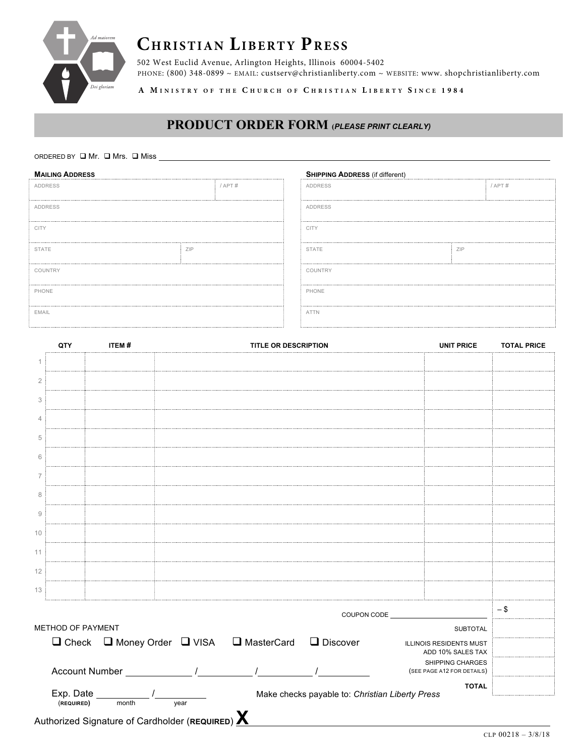

# **CHRISTIAN LIBERTY PRESS**

502 West Euclid Avenue, Arlington Heights, Illinois 60004-5402 PHONE: (800) 348-0899 ~ EMAIL: custserv@christianliberty.com ~ WEBSITE: www. shopchristianliberty.com

**A M INISTRY OF THE C HURCH OF C HRISTIAN L IBERTY S INCE 1 9 8 4**

# **PRODUCT ORDER FORM (***PLEASE PRINT CLEARLY)*

#### ORDERED BY  $\Box$  Mr.  $\Box$  Mrs.  $\Box$  Miss

| <b>MAILING ADDRESS</b> |            |             |  | <b>SHIPPING ADDRESS (if different)</b> |            |             |  |
|------------------------|------------|-------------|--|----------------------------------------|------------|-------------|--|
| <b>ADDRESS</b>         |            | $/$ APT $#$ |  | <b>ADDRESS</b>                         |            | $/$ APT $#$ |  |
| <b>ADDRESS</b><br>     |            |             |  | ADDRESS                                |            |             |  |
| <b>CITY</b>            |            |             |  | <b>CITY</b>                            |            |             |  |
| <b>STATE</b>           | <b>ZIP</b> |             |  | <b>STATE</b>                           | <b>ZIP</b> |             |  |
| COUNTRY                |            |             |  | COUNTRY                                |            |             |  |
| PHONE                  |            |             |  | PHONE                                  |            |             |  |
| EMAIL                  |            |             |  | <b>ATTN</b>                            |            |             |  |

|                        | QTY               | ITEM#              |                                             | <b>TITLE OR DESCRIPTION</b> |                                                 | <b>UNIT PRICE</b>                                   | <b>TOTAL PRICE</b> |
|------------------------|-------------------|--------------------|---------------------------------------------|-----------------------------|-------------------------------------------------|-----------------------------------------------------|--------------------|
|                        |                   |                    |                                             |                             |                                                 |                                                     |                    |
| $\overline{2}$         |                   |                    |                                             |                             |                                                 |                                                     |                    |
| 3                      |                   |                    |                                             |                             |                                                 |                                                     |                    |
| ⊿                      |                   |                    |                                             |                             |                                                 |                                                     |                    |
| 5                      |                   |                    |                                             |                             |                                                 |                                                     |                    |
| 6                      |                   |                    |                                             |                             |                                                 |                                                     |                    |
| $\overline{7}$         |                   |                    |                                             |                             |                                                 |                                                     |                    |
| 8                      |                   |                    |                                             |                             |                                                 |                                                     |                    |
| $\mathrel{\mathsf{g}}$ |                   |                    |                                             |                             |                                                 |                                                     |                    |
| 10                     |                   |                    |                                             |                             |                                                 |                                                     |                    |
| 11                     |                   |                    |                                             |                             |                                                 |                                                     |                    |
| 12                     |                   |                    |                                             |                             |                                                 |                                                     |                    |
| 13                     |                   |                    |                                             |                             |                                                 |                                                     |                    |
|                        |                   |                    |                                             |                             | COUPON CODE                                     |                                                     | $-$ \$             |
|                        | METHOD OF PAYMENT |                    |                                             |                             |                                                 | <b>SUBTOTAL</b>                                     |                    |
|                        |                   |                    | $\Box$ Check $\Box$ Money Order $\Box$ VISA | □ MasterCard                | $\Box$ Discover                                 | <b>ILLINOIS RESIDENTS MUST</b><br>ADD 10% SALES TAX |                    |
|                        |                   | Account Number     |                                             |                             |                                                 | SHIPPING CHARGES<br>(SEE PAGE A12 FOR DETAILS)      |                    |
|                        |                   |                    |                                             |                             |                                                 | <b>TOTAL</b>                                        |                    |
|                        | (REQUIRED)        | Exp. Date<br>month | year                                        |                             | Make checks payable to: Christian Liberty Press |                                                     |                    |